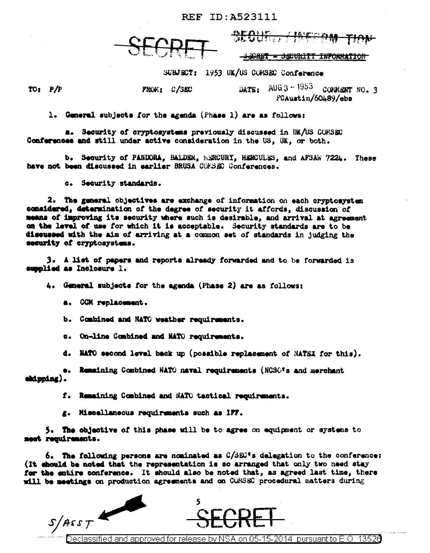FROM: C/SBC

<del>/ Inform</del>

<del>SSORET = SSCURITY INFORMATION</del>

SUBJECT: 1953 UK/US COMSEC Conference

 $TOI$   $P/P$ 

DATE:  $AUB3 - 1953$  COPMENT NO. 3 FCAustin/60489/ebs

1. General subjects for the agenda (Phase 1) are as follows:

a. Security of cryptosystems previously discussed in UK/US COMSEC Conferences and still under active consideration in the US, UK, or both.

b. Security of PANDORA, BALDER, MERCURY, HERCULES, and AFSAW 7224. These have not been discussed in sarlier BRUSA COMSEC Conferences.

c. Security standards.

2. The general objectives are exchange of information on each cryptosystem considered, determination of the degree of security it affords, discussion of means of improving its security where such is desirable, and arrival at agreement on the level of use for which it is acceptable. Security standards are to be discussed with the aim of arriving at a common set of standards in judging the security of cryptosystems.

3. A list of papers and reports already forwarded and to be forwarded is supplied as Inclosure 1.

4. General subjects for the agenda (Phase 2) are as follows:

a. CCM replacement.

b. Combined and NATC weather requirements.

c. On-line Combined and NATO requirements.

d. NATO second level back up (possible replacement of NATEX for this).

.. Remaining Combined NATO naval requirements (NCSO's and merchant shipping).

f. Remaining Combined and NATO tactical requirements.

g. Miscellaneous requirements such as IFF.

5. The objective of this phase will be to agree on equipment or systems to meet requirements.

6. The following persone are nominated as C/SEC's delegation to the conference: (It should be noted that the representation is so arranged that only two need stay for the entire conference. It should also be noted that, as agreed last time, there will be meetings on production agreements and on COMSEC procedural matters during



)eclassified and approved for release by NSA on 05-15-2014  $\,$  pursuant to E.O. 13526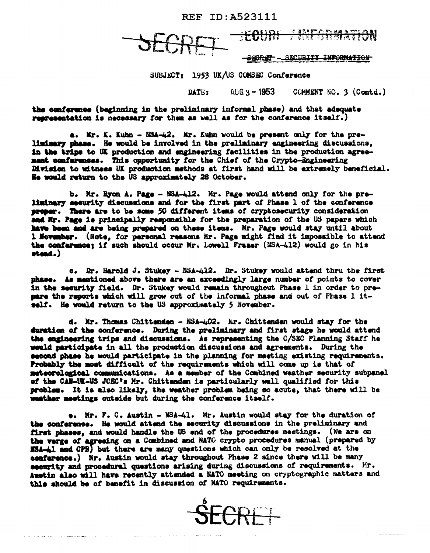SECURITY INFORMATION <del>820RET</del> -

SUBJECT: 1953 UK/US COMSEC Conference

AUG  $3 - 1953$ COMMENT NO. 3 (Contd.) DATE:

the conference (beginning in the preliminary informal phase) and that adequate representation is necessary for them as well as for the conference itself.

a. Mr. K. Kuhn - NSA-42. Mr. Kuhn would be present only for the preliminary phase. He would be involved in the preliminary engineering discussions, in the trips to UK production and engineering facilities in the production agreement conferences. This opportunity for the Chief of the Crypto-Engineering Division to witness UK production methods at first hand will be extremely beneficial. He would return to the US approximately 28 October.

b. Mr. Ryon A. Page - NSA-412. Mr. Page would attend only for the preliminary security discussions and for the first part of Phase 1 of the conference proper. There are to be some 50 different items of cryptosecurity consideration and Mr. Page is principally responsible for the preparation of the US papers which have been and are being prepared on these items. Mr. Page would stay until about 1 November. (Note, for personal reasons Mr. Page might find it impossible to attend the conference: if such should occur Mr. Lowell Fraser (NSA-412) would go in his stead.)

c. Dr. Harold J. Stukey - NSA-412. Dr. Stukey would attend thru the first phase. As mentioned above there are an exceedingly large number of points to cover in the security field. Dr. Stukey would remain throughout Phase 1 in order to prepare the reports which will grow out of the informal phase and out of Phase 1 itself. He would return to the US approximately 5 November.

d. Mr. Thomas Chittenden - NSA-402. Mr. Chittenden would stay for the duration of the conference. During the preliminary and first stage he would attend the engineering trips and discussions. As representing the C/SEC Planning Staff he would participate in all the production discussions and agreements. During the second phase he would participate in the planning for meeting existing requirements. Probably the most difficult of the requirements which will come up is that of meteorological communications. As a member of the Combined weather security subpanel of the CAN-UK-US JOEC's Mr. Chittenden is particularly well qualified for this problem. It is also likely, the weather problem being so acute, that there will be weather meetings outside but during the conference itself.

e. Mr. F. C. Austin - NSA-41. Mr. Austin would stay for the duration of the conference. He would attend the security discussions in the preliminary and first phases, and would handle the US end of the procedures meetings. (We are on the verge of agreeing on a Combined and NATO crypto procedures manual (prepared by MSA-41 and CPB) but there are many questions which can only be resolved at the conference.) Mr. Austin would stay throughout Phase 2 since there will be many security and procedural questions arising during discussions of requirements. Mr. Austin also will have recently attended a NATO meeting on cryptographic matters and this should be of benefit in discussion of NATO requirements.

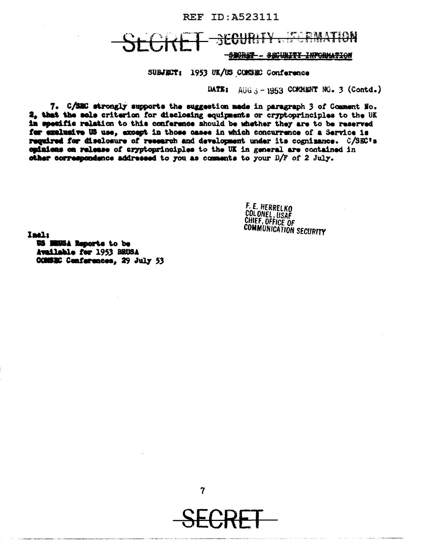## \*^!!F trini <del>-SBORET - SECURITY INFORMATION</del>

SUBJECT: 1953 UK/US COMSEC Conference

DATE:  $AUB \rightarrow -1953$  COMMENT NO. 3 (Contd.)

7. C/SEC strongly supports the suggestion made in paragraph 3 of Comment No. 2, that the sole criterion for disclosing equipments or cryptoprinciples to the UK in specific relation to this conference should be whether they are to be reserved for exclusive US use, except in those cases in which concurrence of a Service is required for disclosure of research and development under its cognizance. C/SEC's culmicas on release of cryptoprinciples to the UK in general are contained in other correspondence addressed to you as comments to your D/F of 2 July.

F. E. HERRELKO<br>COLONEL, USAF<br>CHIEF, OFFICE OF<br>COMMUNICATION SECURITY

Inali

US BRUSA Reports to be Available for 1953 BRUSA COMBEC Conferences, 29 July 53



7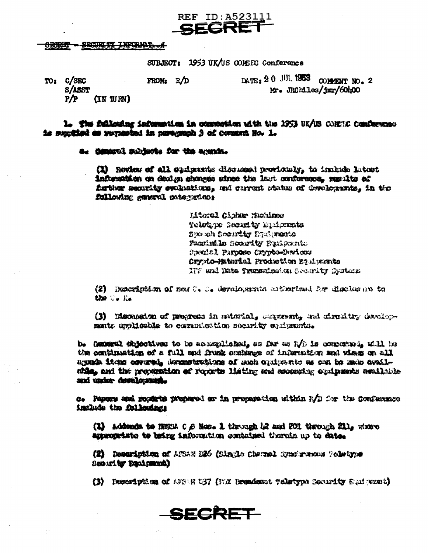# REF ID: A523111 SEGRE

#### - SECURIT INFORMATION **SBORET**

SUBJECT: 1953 UK/US CONSEC Conference

 $_{\text{DATA 2 0}}$  JUI, 1953 comment no. 2 TO: C/SEC  $FROM_3 R/D$ **S/ASST** Mr. JRChiles/jmr/60400  $P/P$  $(TN \text{ WRM})$ 

l. The fallowing information in commodium with the 1953 UK/US COMBE Conference is supplied as requested in purement 3 of countri Ho. 1.

a. General subjects for the agenda.

(1) Review of all cadgamas discussed providualy, to include latest information on dealen shorees wince the last ourforeees, results of figther security evaluations, and current status of developments, in the fellowing general categories:

> **Iitoral Cluber Muchinos** Tolothao Seonatr Endrata Speech Socurity Predigents Paximile Scoutty Paulaunts Angelal Purposo Crypto-Davices Orynto-Material Production Equipments IFF and Data Transmission Security fysices:

(2) Description of new 0.00. developments subteriand for disclosure to the Section

(3) Mecassion of progress in saterial, congraved, and circuitry devalopmate uplicable to comunication sociaty chipsonis.

b. Cannon! shjectives to be acceptished, as far as  $1/p$  is concerned, will be the continuation of a full and frank continue of information and views on all agonde item ooverad, dermetrations of man opiperto as con be made availnide, and the propuntion of revorts listing and assessing conigenate available and under development.

c. Papurp and reparts prepared ar in proparation within F/D for the Conference include the following:

(1) Addends to HERM C.S. Hos. 1 through 12 and 201 through 211, where appropriate to being information contained therein up to date.

(2) Demeriction of AFSAN D26 (Single Charnel Bynstronoms Toletyne Denual by Equipment)

(3) Description of AFORM DB7 (FOX Dreadcast Teletype Cocarity Suffrant)

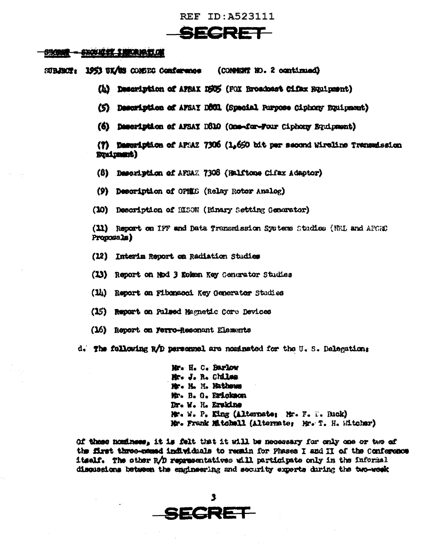# SECRET

### **6%BN - \$XXIIII THANAME OF**

SUBJECT: 1953 SK/83 COMBEG Conference (COMMENT NO. 2 continued)

- (h) Description of APRAX DRUS (FOX Rroadcast Citax Buipment)
- (5) Description of AFSAY DBUL (Special Purpose Ciphony Equipment)
- (6) Description of AFSAY DS10 (One-for-Four Ciphony Equipment)

(?) Description of APSAZ 7305 (1,650 bit per second Wireline Transadesion **Stairment)** 

- (8) Description of AFSAZ 7308 (Halftone Cifax Adaptor)
- (9) Description of OPHES (Relay Rotor Analog)
- (10) Decoription of HISON (Binary Setting Generator)

(11) Report on IFF and Data Transmission Systems Studies (NRL and AFCRC) Proposals)

- (12) Interim Report on Radiation Studies
- (13) Report on Mod 3 Roken Key Cenerator Studies
- (14) Report on Fibonsoni Key Generator Studies
- (15) Report on Pulsed Magnetic Core Devices
- (16) Report on Ferro-Resonant Elements
- d. The following R/D personnel are nominated for the U.S. Delegation:

Mr. H. C. Barlow Mr. J. R. Chiles Mr. H. M. Hathews Mr. B. G. Erickson Dr. W. H. Erskins Mr. N. P. King (Alternate: Mr. F. F. Buck) Mr. Frank Mitchell (Alternate; Mr. T. H. Witcher)

Of these nominees, it is felt that it will be necessary for only one or two of the first three-must individuals to regain for Phases I and II of the Conference itself. The other R/D representatives will participate only in the informal disquesions between the engineering and security experts during the two-wook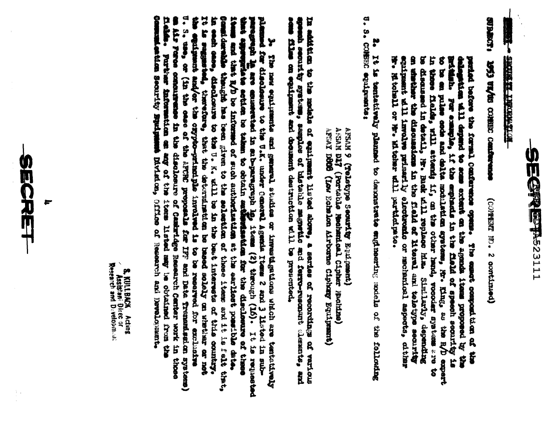

**TO LESSON LABORER 1999** 

**LOWER PRIMERING CORRECT CRAFTER CARDINAL**  $(1, 0)$  and  $(2, 0)$  and  $(3, 0)$ 

on shether the discussions in the fleld of Moral and toletype security be discussed in detail, W. Buck all replace in an of also like the sales and the sale of the second control or in a second or in a second of the second of the second of the second of the second of the second of the second of the second of the second of the second of the in these fields, will attend if, on the other hand, vocoisr systems are to delinguished will deputed to some extent on the agenda items proponed by the the first proponent by the contribution of the sample, it the equipment in the result of the second order and delicated modulation appears to the partied economical Contenuese option The composition in the time Statistand dependent

**U.S. CONSILE CONSTRUCTION** ٣ It is tentatively planned to denometrate engineering axisls of the following

AESAN DET (Portable Mechanical Cipher Modifies)<br>AFSAY DOGS (Low Echalon Airborne Cipher Wouldmant) Arsun 9 (Teletotype Security Equipment)

apoemi secunity systems, samples of bistahle megnetic and ferro-resonant clements, and some present contents, and In addition to the models of egaliment lined above, a series of recordings of various

in each case, disclosure to the U. K. will be in the best interests of this country.<br>It is segmented, therefore, the the determinent an be based sololy on shether or not the the the second entitle the control and/or the or Î **Delain** items and that R/D be informed of such authorization at the earliest possible date. plemmed for disclement to the U is under Ceneral Agenta Items 2 and 3 listed in subpuragement le ave enumerated in aub-paragraph le, items (2) through (16). It is requested a also Funce compustrate in the disclosure of Canaridge Research Center work in these maiderables thengin has been given to the selection of these item and it is felt that, munication Security Euriphines Division, Office of Research and Development. Y Furtions information on any of the items listed may be obtained from the The new editions and measure through a round at the particle and ore that the tenthological

Assistant Director 8. KULLBACK Acting

SECRET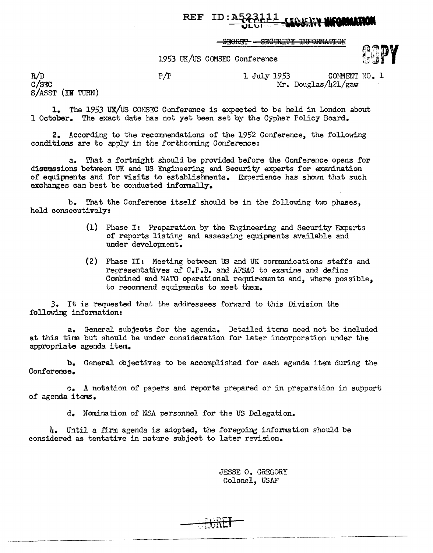# REF ID: ARABLE - STORIN MOMMINI

SECRET - SECURITY INFORMATION

19.53 UK/US COMSEC Conference



 $P/P$  1 July 1953 COMMENT NO. 1

Mr. Douglas/421/gaw

c/sro S/ASST (IN TURN)

--------------·.

R/D

1. The 1953 UK/US COMSEC Conference is expected to be held in London about 1 October. The exact date has not yet been set by the Cypher Policy Board.

2. According to the recommendations of the 1952 Conference., the following conditions are to apply in the forthcoming Conference:

a. That a fortnight should be provided before the Conference opens for discussions between UK and US Engineering and Security experts for examination of equipments and for visits to establishments. Experience has shown that such exchanges can best be conducted informally.

b. That the Conference itself should be in the following two phases, held consecutively:

- (1) Phase I: Preparation by the Engineering and Security Experts of reports listing and assessing equipments available and under development.
- (2) Phase II: Meeting between US and UK corrnnunications staffs and representatives of C.P.B. and AFSAC to examine and define Combined and NATO operational requirements and, where possible, to recommend equipments to meet them.

J. It is requested that the addressees forward to this Division the following information:

a. General subjects for the agenda. Detailed items need not be included at this tine but should be under consideration for later incorporation under the appropriate agenda item.

b. General objectives to be accomplished for each agenda item during the Conference.

c. A notation of papers and reports prepared or in preparation in support of agenda items.

d. Nomination of NSA personnel for the US Delegation.

4. Until a firm agenda is adopted, the foregoing information should be considered as tentative in nature subject to later revision.

> JESSE O. GREGORY Colonel, USAF